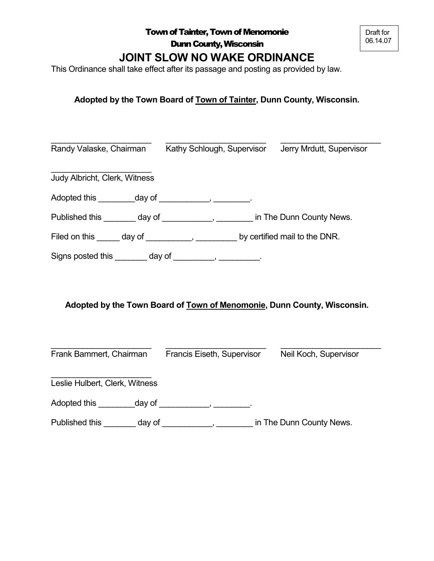# **JOINT SLOW NO WAKE ORDINANCE**

This Ordinance shall take effect after its passage and posting as provided by law.

# **Adopted by the Town Board of Town of Tainter, Dunn County, Wisconsin.**

| Randy Valaske, Chairman Kathy Schlough, Supervisor                               |  | Jerry Mrdutt, Supervisor |  |  |
|----------------------------------------------------------------------------------|--|--------------------------|--|--|
| Judy Albricht, Clerk, Witness                                                    |  |                          |  |  |
| Adopted this __________day of _____________, _________.                          |  |                          |  |  |
| Published this ________ day of ____________, ________ in The Dunn County News.   |  |                          |  |  |
| Filed on this ______ day of ___________, _________ by certified mail to the DNR. |  |                          |  |  |
| Signs posted this ________ day of __________, __________.                        |  |                          |  |  |
| Adopted by the Town Board of Town of Menomonie, Dunn County, Wisconsin.          |  |                          |  |  |
| Frank Bammert, Chairman Francis Eiseth, Supervisor                               |  | Neil Koch, Supervisor    |  |  |
| Leslie Hulbert, Clerk, Witness                                                   |  |                          |  |  |
| Adopted this _____________ day of _______________, __________.                   |  |                          |  |  |

Published this \_\_\_\_\_\_\_\_ day of \_\_\_\_\_\_\_\_\_\_\_, \_\_\_\_\_\_\_\_ in The Dunn County News.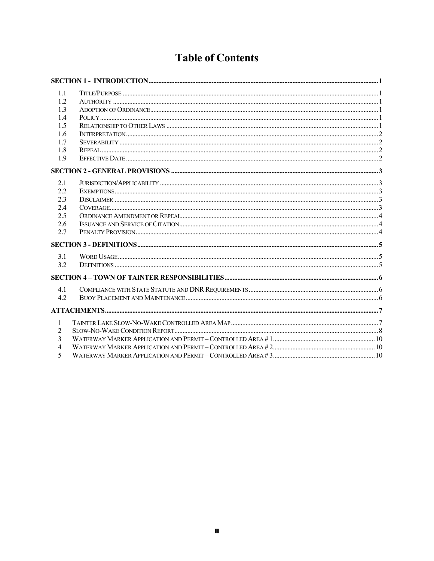# **Table of Contents**

| 1.1            |  |
|----------------|--|
| 1.2.           |  |
| 1.3            |  |
| 1.4            |  |
| 1.5            |  |
| 1.6            |  |
| 1.7            |  |
| 1.8            |  |
| 1.9            |  |
|                |  |
| 2.1            |  |
| 2.2            |  |
| 2.3            |  |
| 2.4            |  |
| 2.5            |  |
| 2.6            |  |
| 2.7            |  |
|                |  |
| 3.1            |  |
| 3.2            |  |
|                |  |
|                |  |
| 4.1<br>4.2     |  |
|                |  |
|                |  |
| 1              |  |
| $\overline{2}$ |  |
| $\overline{3}$ |  |
| $\overline{4}$ |  |
| 5              |  |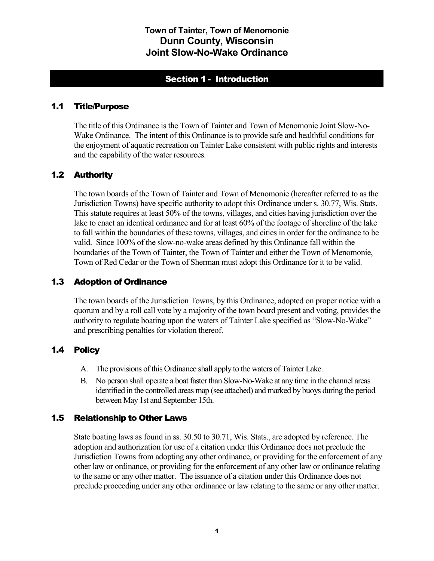# Section 1 - Introduction

#### <span id="page-2-1"></span><span id="page-2-0"></span>1.1 Title/Purpose

The title of this Ordinance is the Town of Tainter and Town of Menomonie Joint Slow-No-Wake Ordinance. The intent of this Ordinance is to provide safe and healthful conditions for the enjoyment of aquatic recreation on Tainter Lake consistent with public rights and interests and the capability of the water resources.

## <span id="page-2-2"></span>1.2 Authority

The town boards of the Town of Tainter and Town of Menomonie (hereafter referred to as the Jurisdiction Towns) have specific authority to adopt this Ordinance under s. 30.77, Wis. Stats. This statute requires at least 50% of the towns, villages, and cities having jurisdiction over the lake to enact an identical ordinance and for at least 60% of the footage of shoreline of the lake to fall within the boundaries of these towns, villages, and cities in order for the ordinance to be valid. Since 100% of the slow-no-wake areas defined by this Ordinance fall within the boundaries of the Town of Tainter, the Town of Tainter and either the Town of Menomonie, Town of Red Cedar or the Town of Sherman must adopt this Ordinance for it to be valid.

#### <span id="page-2-3"></span>1.3 Adoption of Ordinance

The town boards of the Jurisdiction Towns, by this Ordinance, adopted on proper notice with a quorum and by a roll call vote by a majority of the town board present and voting, provides the authority to regulate boating upon the waters of Tainter Lake specified as "Slow-No-Wake" and prescribing penalties for violation thereof.

# <span id="page-2-4"></span>1.4 Policy

- A. The provisions of this Ordinance shall apply to the waters of Tainter Lake.
- B. No person shall operate a boat faster than Slow-No-Wake at any time in the channel areas identified in the controlled areas map (see attached) and marked by buoys during the period between May 1st and September 15th.

#### <span id="page-2-5"></span>1.5 Relationship to Other Laws

State boating laws as found in ss. 30.50 to 30.71, Wis. Stats., are adopted by reference. The adoption and authorization for use of a citation under this Ordinance does not preclude the Jurisdiction Towns from adopting any other ordinance, or providing for the enforcement of any other law or ordinance, or providing for the enforcement of any other law or ordinance relating to the same or any other matter. The issuance of a citation under this Ordinance does not preclude proceeding under any other ordinance or law relating to the same or any other matter.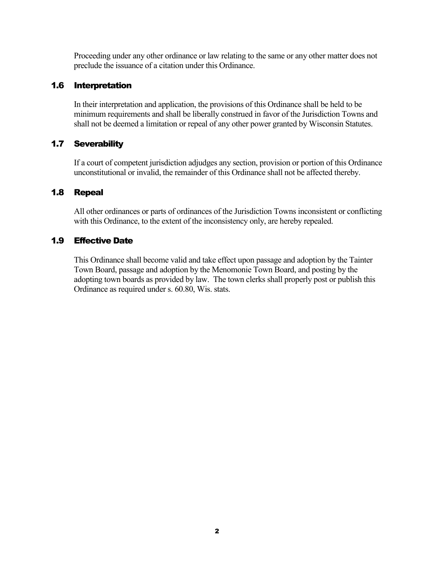Proceeding under any other ordinance or law relating to the same or any other matter does not preclude the issuance of a citation under this Ordinance.

## <span id="page-3-0"></span>1.6 Interpretation

In their interpretation and application, the provisions of this Ordinance shall be held to be minimum requirements and shall be liberally construed in favor of the Jurisdiction Towns and shall not be deemed a limitation or repeal of any other power granted by Wisconsin Statutes.

## <span id="page-3-1"></span>1.7 Severability

If a court of competent jurisdiction adjudges any section, provision or portion of this Ordinance unconstitutional or invalid, the remainder of this Ordinance shall not be affected thereby.

## <span id="page-3-2"></span>1.8 Repeal

All other ordinances or parts of ordinances of the Jurisdiction Towns inconsistent or conflicting with this Ordinance, to the extent of the inconsistency only, are hereby repealed.

# <span id="page-3-3"></span>1.9 Effective Date

This Ordinance shall become valid and take effect upon passage and adoption by the Tainter Town Board, passage and adoption by the Menomonie Town Board, and posting by the adopting town boards as provided by law. The town clerks shall properly post or publish this Ordinance as required under s. 60.80, Wis. stats.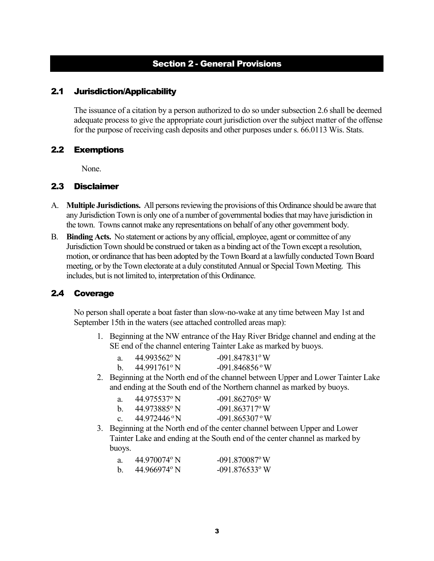# Section 2 - General Provisions

#### <span id="page-4-1"></span><span id="page-4-0"></span>2.1 Jurisdiction/Applicability

The issuance of a citation by a person authorized to do so under subsection [2.6](#page-5-1) shall be deemed adequate process to give the appropriate court jurisdiction over the subject matter of the offense for the purpose of receiving cash deposits and other purposes under s. 66.0113 Wis. Stats.

#### <span id="page-4-2"></span>2.2 Exemptions

None.

#### <span id="page-4-3"></span>2.3 Disclaimer

- A. **Multiple Jurisdictions.** All persons reviewing the provisions of this Ordinance should be aware that any Jurisdiction Town is only one of a number of governmental bodies that may have jurisdiction in the town. Towns cannot make any representations on behalf of any other government body.
- B. **Binding Acts.** No statement or actions by any official, employee, agent or committee of any Jurisdiction Town should be construed or taken as a binding act of the Town except a resolution, motion, or ordinance that has been adopted by the Town Board at a lawfully conducted Town Board meeting, or by the Town electorate at a duly constituted Annual or Special Town Meeting. This includes, but is not limited to, interpretation of this Ordinance.

#### <span id="page-4-4"></span>2.4 Coverage

No person shall operate a boat faster than slow-no-wake at any time between May 1st and September 15th in the waters (see attached controlled areas map):

1. Beginning at the NW entrance of the Hay River Bridge channel and ending at the SE end of the channel entering Tainter Lake as marked by buoys.

| 44.993562° N | $-091.847831^{\circ}$ W |
|--------------|-------------------------|
| 44.991761°N  | $-091.846856$ °W        |

2. Beginning at the North end of the channel between Upper and Lower Tainter Lake and ending at the South end of the Northern channel as marked by buoys.

| a.             | 44.975537° N | $-091.862705$ ° W |
|----------------|--------------|-------------------|
| $h_{\cdot}$    | 44.973885° N | $-091.863717$ °W  |
| C <sub>1</sub> | 44.972446 °N | $-091.865307$ °W  |

3. Beginning at the North end of the center channel between Upper and Lower Tainter Lake and ending at the South end of the center channel as marked by buoys.

|   | $44.970074$ <sup>o</sup> N | $-091.870087$ °W             |
|---|----------------------------|------------------------------|
| b | $44.966974$ °N             | $-091.876533$ <sup>o</sup> W |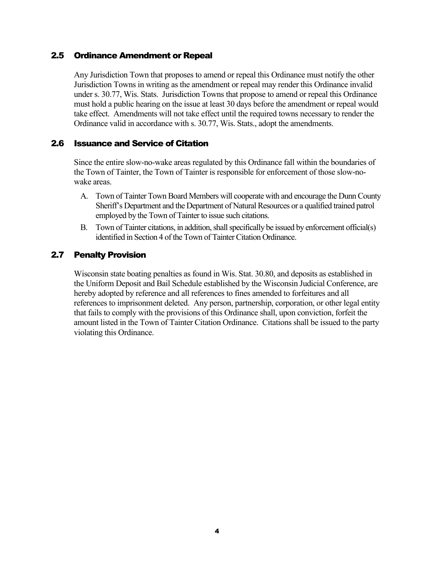#### <span id="page-5-0"></span>2.5 Ordinance Amendment or Repeal

Any Jurisdiction Town that proposes to amend or repeal this Ordinance must notify the other Jurisdiction Towns in writing as the amendment or repeal may render this Ordinance invalid under s. 30.77, Wis. Stats. Jurisdiction Towns that propose to amend or repeal this Ordinance must hold a public hearing on the issue at least 30 days before the amendment or repeal would take effect. Amendments will not take effect until the required towns necessary to render the Ordinance valid in accordance with s. 30.77, Wis. Stats., adopt the amendments.

#### <span id="page-5-1"></span>2.6 Issuance and Service of Citation

Since the entire slow-no-wake areas regulated by this Ordinance fall within the boundaries of the Town of Tainter, the Town of Tainter is responsible for enforcement of those slow-nowake areas.

- A. Town of Tainter Town Board Members will cooperate with and encourage the Dunn County Sheriff's Department and the Department of Natural Resources or a qualified trained patrol employed by the Town of Tainter to issue such citations.
- B. Town of Tainter citations, in addition, shall specifically be issued by enforcement official(s) identified in Section 4 of the Town of Tainter Citation Ordinance.

### <span id="page-5-2"></span>2.7 Penalty Provision

Wisconsin state boating penalties as found in Wis. Stat. 30.80, and deposits as established in the Uniform Deposit and Bail Schedule established by the Wisconsin Judicial Conference, are hereby adopted by reference and all references to fines amended to forfeitures and all references to imprisonment deleted. Any person, partnership, corporation, or other legal entity that fails to comply with the provisions of this Ordinance shall, upon conviction, forfeit the amount listed in the Town of Tainter Citation Ordinance. Citations shall be issued to the party violating this Ordinance.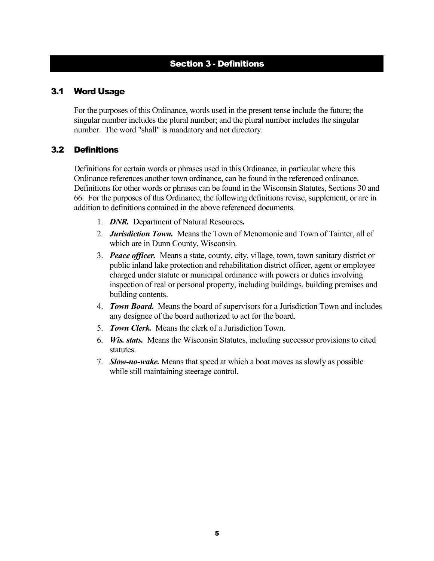# Section 3 - Definitions

#### <span id="page-6-1"></span><span id="page-6-0"></span>3.1 Word Usage

For the purposes of this Ordinance, words used in the present tense include the future; the singular number includes the plural number; and the plural number includes the singular number. The word "shall" is mandatory and not directory.

#### <span id="page-6-2"></span>3.2 Definitions

Definitions for certain words or phrases used in this Ordinance, in particular where this Ordinance references another town ordinance, can be found in the referenced ordinance. Definitions for other words or phrases can be found in the Wisconsin Statutes, Sections 30 and 66. For the purposes of this Ordinance, the following definitions revise, supplement, or are in addition to definitions contained in the above referenced documents.

- 1. *DNR.*Department of Natural Resources*.*
- 2. *Jurisdiction Town.* Means the Town of Menomonie and Town of Tainter, all of which are in Dunn County, Wisconsin.
- 3. *Peace officer.* Means a state, county, city, village, town, town sanitary district or public inland lake protection and rehabilitation district officer, agent or employee charged under statute or municipal ordinance with powers or duties involving inspection of real or personal property, including buildings, building premises and building contents.
- 4. *Town Board.* Means the board of supervisors for a Jurisdiction Town and includes any designee of the board authorized to act for the board.
- 5. *Town Clerk.* Means the clerk of a Jurisdiction Town.
- 6. *Wis. stats.* Means the Wisconsin Statutes, including successor provisions to cited statutes.
- 7. *Slow-no-wake.* Means that speed at which a boat moves as slowly as possible while still maintaining steerage control.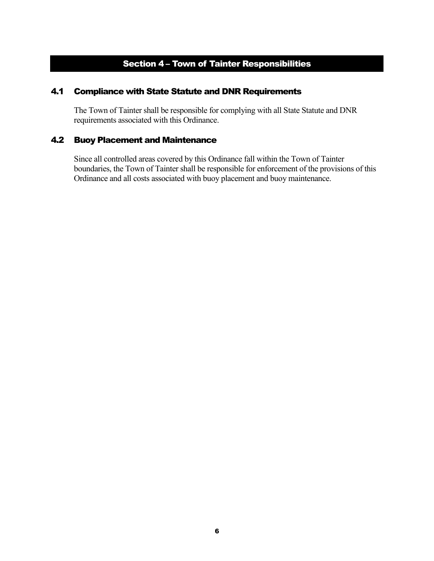# Section 4 – Town of Tainter Responsibilities

### <span id="page-7-1"></span><span id="page-7-0"></span>4.1 Compliance with State Statute and DNR Requirements

The Town of Tainter shall be responsible for complying with all State Statute and DNR requirements associated with this Ordinance.

### <span id="page-7-2"></span>4.2 Buoy Placement and Maintenance

Since all controlled areas covered by this Ordinance fall within the Town of Tainter boundaries, the Town of Tainter shall be responsible for enforcement of the provisions of this Ordinance and all costs associated with buoy placement and buoy maintenance.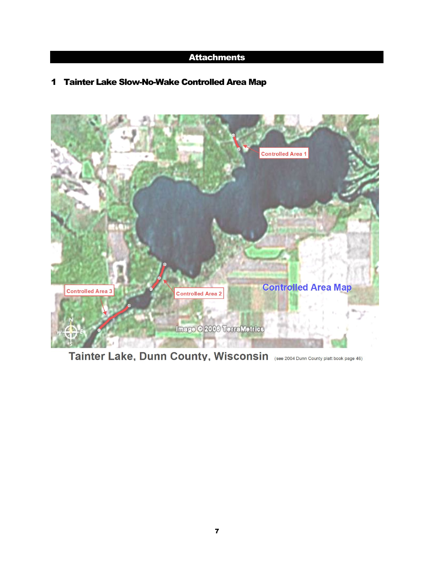# **Attachments**

# <span id="page-8-1"></span><span id="page-8-0"></span>1 Tainter Lake Slow-No-Wake Controlled Area Map



Tainter Lake, Dunn County, Wisconsin (see 2004 Dunn County platt book page 46)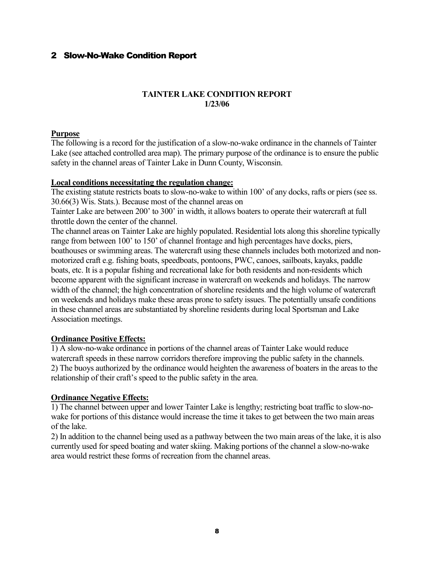### <span id="page-9-0"></span>2 Slow-No-Wake Condition Report

#### **TAINTER LAKE CONDITION REPORT 1/23/06**

#### **Purpose**

The following is a record for the justification of a slow-no-wake ordinance in the channels of Tainter Lake (see attached controlled area map). The primary purpose of the ordinance is to ensure the public safety in the channel areas of Tainter Lake in Dunn County, Wisconsin.

#### **Local conditions necessitating the regulation change:**

The existing statute restricts boats to slow-no-wake to within 100' of any docks, rafts or piers (see ss. 30.66(3) Wis. Stats.). Because most of the channel areas on

Tainter Lake are between 200' to 300' in width, it allows boaters to operate their watercraft at full throttle down the center of the channel.

The channel areas on Tainter Lake are highly populated. Residential lots along this shoreline typically range from between 100' to 150' of channel frontage and high percentages have docks, piers, boathouses or swimming areas. The watercraft using these channels includes both motorized and nonmotorized craft e.g. fishing boats, speedboats, pontoons, PWC, canoes, sailboats, kayaks, paddle boats, etc. It is a popular fishing and recreational lake for both residents and non-residents which become apparent with the significant increase in watercraft on weekends and holidays. The narrow width of the channel; the high concentration of shoreline residents and the high volume of watercraft on weekends and holidays make these areas prone to safety issues. The potentially unsafe conditions in these channel areas are substantiated by shoreline residents during local Sportsman and Lake Association meetings.

#### **Ordinance Positive Effects:**

1) A slow-no-wake ordinance in portions of the channel areas of Tainter Lake would reduce watercraft speeds in these narrow corridors therefore improving the public safety in the channels. 2) The buoys authorized by the ordinance would heighten the awareness of boaters in the areas to the relationship of their craft's speed to the public safety in the area.

#### **Ordinance Negative Effects:**

1) The channel between upper and lower Tainter Lake is lengthy; restricting boat traffic to slow-nowake for portions of this distance would increase the time it takes to get between the two main areas of the lake.

2) In addition to the channel being used as a pathway between the two main areas of the lake, it is also currently used for speed boating and water skiing. Making portions of the channel a slow-no-wake area would restrict these forms of recreation from the channel areas.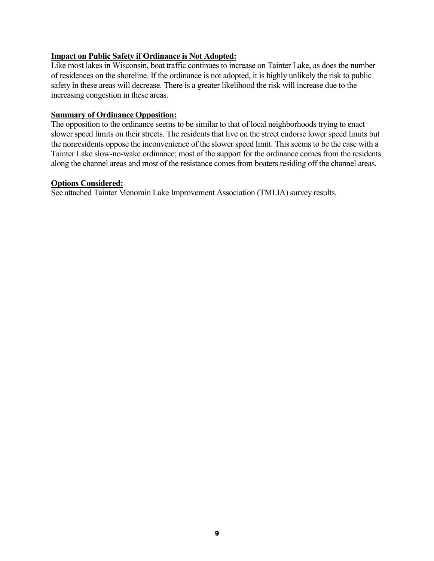#### **Impact on Public Safety if Ordinance is Not Adopted:**

Like most lakes in Wisconsin, boat traffic continues to increase on Tainter Lake, as does the number of residences on the shoreline. If the ordinance is not adopted, it is highly unlikely the risk to public safety in these areas will decrease. There is a greater likelihood the risk will increase due to the increasing congestion in these areas.

#### **Summary of Ordinance Opposition:**

The opposition to the ordinance seems to be similar to that of local neighborhoods trying to enact slower speed limits on their streets. The residents that live on the street endorse lower speed limits but the nonresidents oppose the inconvenience of the slower speed limit. This seems to be the case with a Tainter Lake slow-no-wake ordinance; most of the support for the ordinance comes from the residents along the channel areas and most of the resistance comes from boaters residing off the channel areas.

#### **Options Considered:**

See attached Tainter Menomin Lake Improvement Association (TMLIA) survey results.